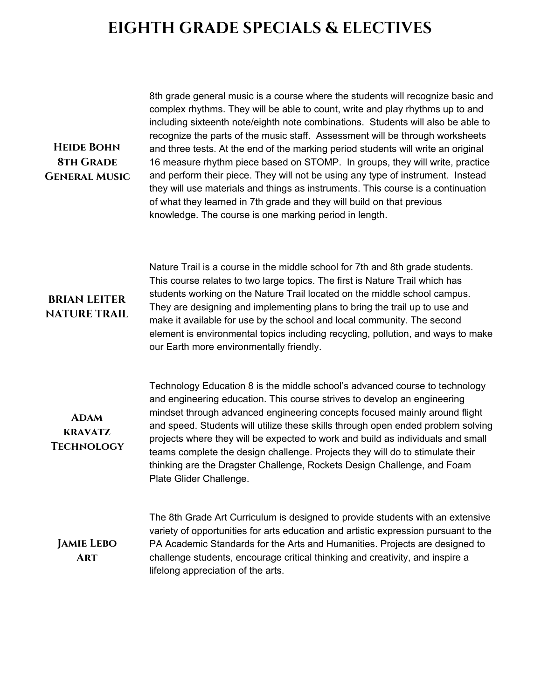## **EIGHTH GRADE SPECIALS & ELECTIVES**

**General Music** complex rhythms. They will be able to count, write and play rhythms up to and including sixteenth note/eighth note combinations. Students will also be able to recognize the parts of the music staff. Assessment will be through worksheets and three tests. At the end of the marking period students will write an original 16 measure rhythm piece based on STOMP. In groups, they will write, practice and perform their piece. They will not be using any type of instrument. Instead they will use materials and things as instruments. This course is a continuation of what they learned in 7th grade and they will build on that previous knowledge. The course is one marking period in length.

8th grade general music is a course where the students will recognize basic and

## **BRIAN LEITER NATURE TRAIL**

**Heide Bohn 8th Grade**

> Nature Trail is a course in the middle school for 7th and 8th grade students. This course relates to two large topics. The first is Nature Trail which has students working on the Nature Trail located on the middle school campus. They are designing and implementing plans to bring the trail up to use and make it available for use by the school and local community. The second element is environmental topics including recycling, pollution, and ways to make our Earth more environmentally friendly.

**Adam kravatz Technology**

Technology Education 8 is the middle school's advanced course to technology and engineering education. This course strives to develop an engineering mindset through advanced engineering concepts focused mainly around flight and speed. Students will utilize these skills through open ended problem solving projects where they will be expected to work and build as individuals and small teams complete the design challenge. Projects they will do to stimulate their thinking are the Dragster Challenge, Rockets Design Challenge, and Foam Plate Glider Challenge.

**Jamie Lebo Art**

The 8th Grade Art Curriculum is designed to provide students with an extensive variety of opportunities for arts education and artistic expression pursuant to the PA Academic Standards for the Arts and Humanities. Projects are designed to challenge students, encourage critical thinking and creativity, and inspire a lifelong appreciation of the arts.